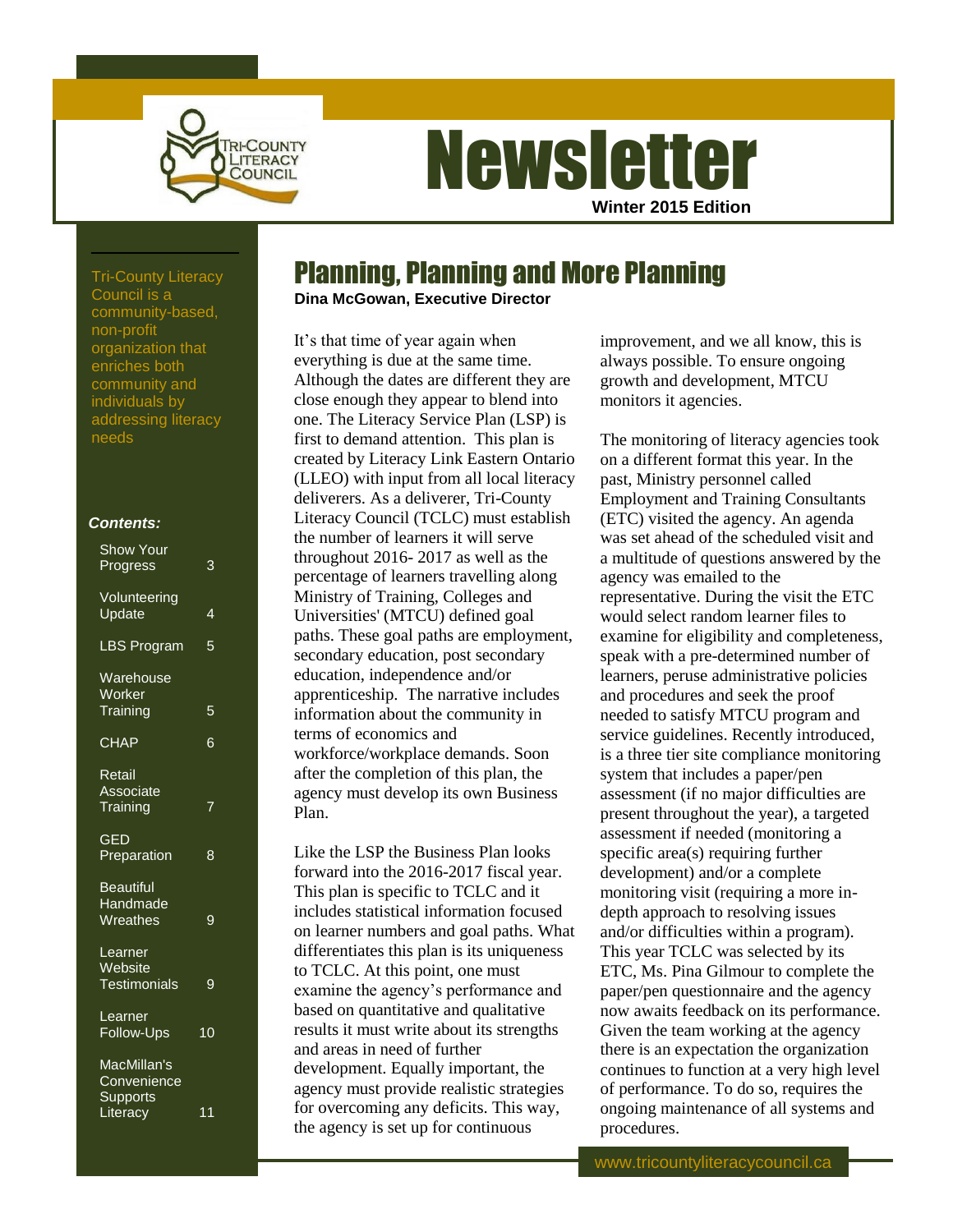

# **Newsletter Winter 2015 Edition**

Planning, Planning and More Planning

## **Dina McGowan, Executive Director**

It's that time of year again when everything is due at the same time. Although the dates are different they are close enough they appear to blend into one. The Literacy Service Plan (LSP) is first to demand attention. This plan is created by Literacy Link Eastern Ontario (LLEO) with input from all local literacy deliverers. As a deliverer, Tri-County Literacy Council (TCLC) must establish the number of learners it will serve throughout 2016- 2017 as well as the percentage of learners travelling along Ministry of Training, Colleges and Universities' (MTCU) defined goal paths. These goal paths are employment, secondary education, post secondary education, independence and/or apprenticeship. The narrative includes information about the community in terms of economics and workforce/workplace demands. Soon after the completion of this plan, the agency must develop its own Business Plan.

Like the LSP the Business Plan looks forward into the 2016-2017 fiscal year. This plan is specific to TCLC and it includes statistical information focused on learner numbers and goal paths. What differentiates this plan is its uniqueness to TCLC. At this point, one must examine the agency's performance and based on quantitative and qualitative results it must write about its strengths and areas in need of further development. Equally important, the agency must provide realistic strategies for overcoming any deficits. This way, the agency is set up for continuous

improvement, and we all know, this is always possible. To ensure ongoing growth and development, MTCU monitors it agencies.

The monitoring of literacy agencies took on a different format this year. In the past, Ministry personnel called Employment and Training Consultants (ETC) visited the agency. An agenda was set ahead of the scheduled visit and a multitude of questions answered by the agency was emailed to the representative. During the visit the ETC would select random learner files to examine for eligibility and completeness, speak with a pre-determined number of learners, peruse administrative policies and procedures and seek the proof needed to satisfy MTCU program and service guidelines. Recently introduced, is a three tier site compliance monitoring system that includes a paper/pen assessment (if no major difficulties are present throughout the year), a targeted assessment if needed (monitoring a specific area(s) requiring further development) and/or a complete monitoring visit (requiring a more indepth approach to resolving issues and/or difficulties within a program). This year TCLC was selected by its ETC, Ms. Pina Gilmour to complete the paper/pen questionnaire and the agency now awaits feedback on its performance. Given the team working at the agency there is an expectation the organization continues to function at a very high level of performance. To do so, requires the ongoing maintenance of all systems and procedures.

www.tricountyliteracycouncil.ca

Tri-County Literacy Council is a community-based, non-profit organization that enriches both community and individuals by addressing literacy needs

### *Contents:*

| 3  |
|----|
| 4  |
| 5  |
| 5  |
| 6  |
|    |
| 8  |
| 9  |
| 9  |
| 10 |
| 11 |
|    |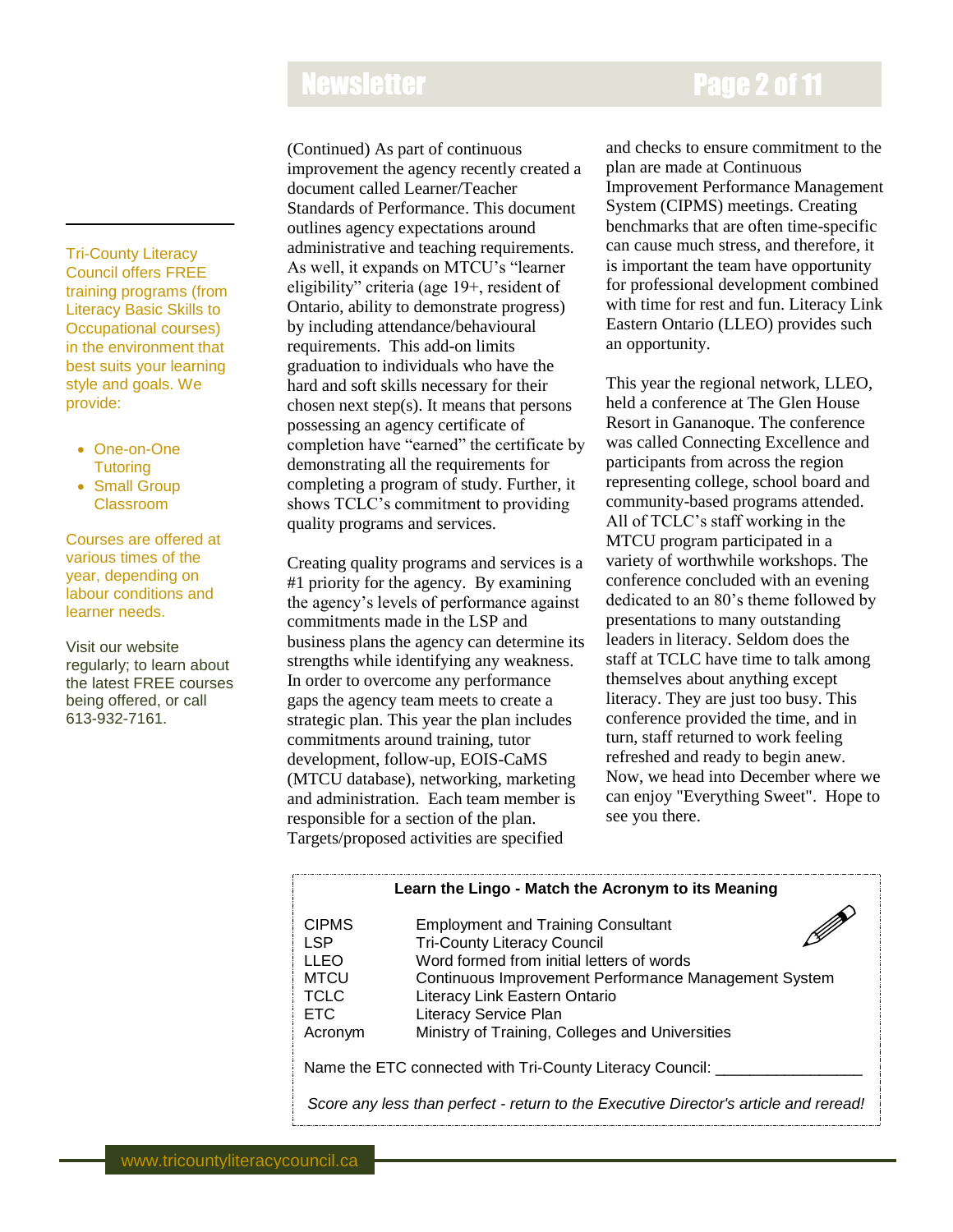# Newsletter **Page 2 of 11**

Tri-County Literacy Council offers FREE training programs (from Literacy Basic Skills to Occupational courses) in the environment that best suits your learning style and goals. We provide:

- One-on-One **Tutoring**
- Small Group Classroom

Courses are offered at various times of the year, depending on labour conditions and learner needs.

Visit our website regularly; to learn about the latest FREE courses being offered, or call 613-932-7161.

(Continued) As part of continuous improvement the agency recently created a document called Learner/Teacher Standards of Performance. This document outlines agency expectations around administrative and teaching requirements. As well, it expands on MTCU's "learner eligibility" criteria (age 19+, resident of Ontario, ability to demonstrate progress) by including attendance/behavioural requirements. This add-on limits graduation to individuals who have the hard and soft skills necessary for their chosen next step(s). It means that persons possessing an agency certificate of completion have "earned" the certificate by demonstrating all the requirements for completing a program of study. Further, it shows TCLC's commitment to providing quality programs and services.

Creating quality programs and services is a #1 priority for the agency. By examining the agency's levels of performance against commitments made in the LSP and business plans the agency can determine its strengths while identifying any weakness. In order to overcome any performance gaps the agency team meets to create a strategic plan. This year the plan includes commitments around training, tutor development, follow-up, EOIS-CaMS (MTCU database), networking, marketing and administration. Each team member is responsible for a section of the plan. Targets/proposed activities are specified

and checks to ensure commitment to the plan are made at Continuous Improvement Performance Management System (CIPMS) meetings. Creating benchmarks that are often time-specific can cause much stress, and therefore, it is important the team have opportunity for professional development combined with time for rest and fun. Literacy Link Eastern Ontario (LLEO) provides such an opportunity.

This year the regional network, LLEO, held a conference at The Glen House Resort in Gananoque. The conference was called Connecting Excellence and participants from across the region representing college, school board and community-based programs attended. All of TCLC's staff working in the MTCU program participated in a variety of worthwhile workshops. The conference concluded with an evening dedicated to an 80's theme followed by presentations to many outstanding leaders in literacy. Seldom does the staff at TCLC have time to talk among themselves about anything except literacy. They are just too busy. This conference provided the time, and in turn, staff returned to work feeling refreshed and ready to begin anew. Now, we head into December where we can enjoy "Everything Sweet". Hope to see you there.

| Learn the Lingo - Match the Acronym to its Meaning                                                                                               |                                                                                                                                                                                                                                                                                                   |
|--------------------------------------------------------------------------------------------------------------------------------------------------|---------------------------------------------------------------------------------------------------------------------------------------------------------------------------------------------------------------------------------------------------------------------------------------------------|
| <b>CIPMS</b><br>I SP<br>LLEO<br><b>MTCU</b><br><b>TCLC</b><br><b>ETC</b><br>Acronym                                                              | <b>Employment and Training Consultant</b><br><b>Tri-County Literacy Council</b><br>Word formed from initial letters of words<br>Continuous Improvement Performance Management System<br>Literacy Link Eastern Ontario<br>Literacy Service Plan<br>Ministry of Training, Colleges and Universities |
| Name the ETC connected with Tri-County Literacy Council:<br>Score any less than perfect - return to the Executive Director's article and reread! |                                                                                                                                                                                                                                                                                                   |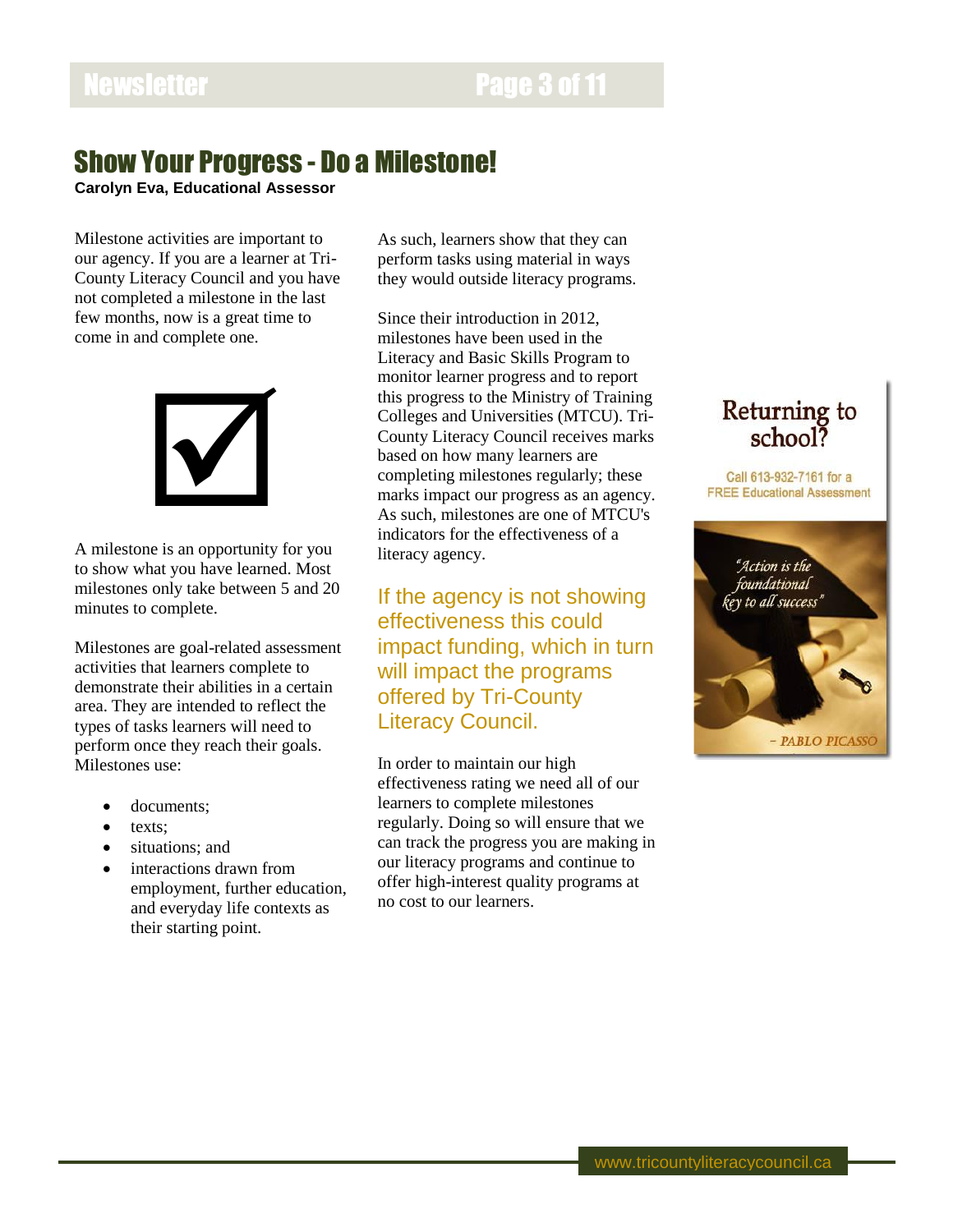## Show Your Progress - Do a Milestone!

**Carolyn Eva, Educational Assessor**

Milestone activities are important to our agency. If you are a learner at Tri-County Literacy Council and you have not completed a milestone in the last few months, now is a great time to come in and complete one.



A milestone is an opportunity for you to show what you have learned. Most milestones only take between 5 and 20 minutes to complete.

Milestones are goal-related assessment activities that learners complete to demonstrate their abilities in a certain area. They are intended to reflect the types of tasks learners will need to perform once they reach their goals. Milestones use:

- documents;
- texts;
- situations; and
- interactions drawn from employment, further education, and everyday life contexts as their starting point.

As such, learners show that they can perform tasks using material in ways they would outside literacy programs.

Since their introduction in 2012, milestones have been used in the Literacy and Basic Skills Program to monitor learner progress and to report this progress to the Ministry of Training Colleges and Universities (MTCU). Tri-County Literacy Council receives marks based on how many learners are completing milestones regularly; these marks impact our progress as an agency. As such, milestones are one of MTCU's indicators for the effectiveness of a literacy agency.

If the agency is not showing effectiveness this could impact funding, which in turn will impact the programs offered by Tri-County Literacy Council.

In order to maintain our high effectiveness rating we need all of our learners to complete milestones regularly. Doing so will ensure that we can track the progress you are making in our literacy programs and continue to offer high-interest quality programs at no cost to our learners.

# Returning to<br>school?

Call 613-932-7161 for a **FREE Educational Assessment** 

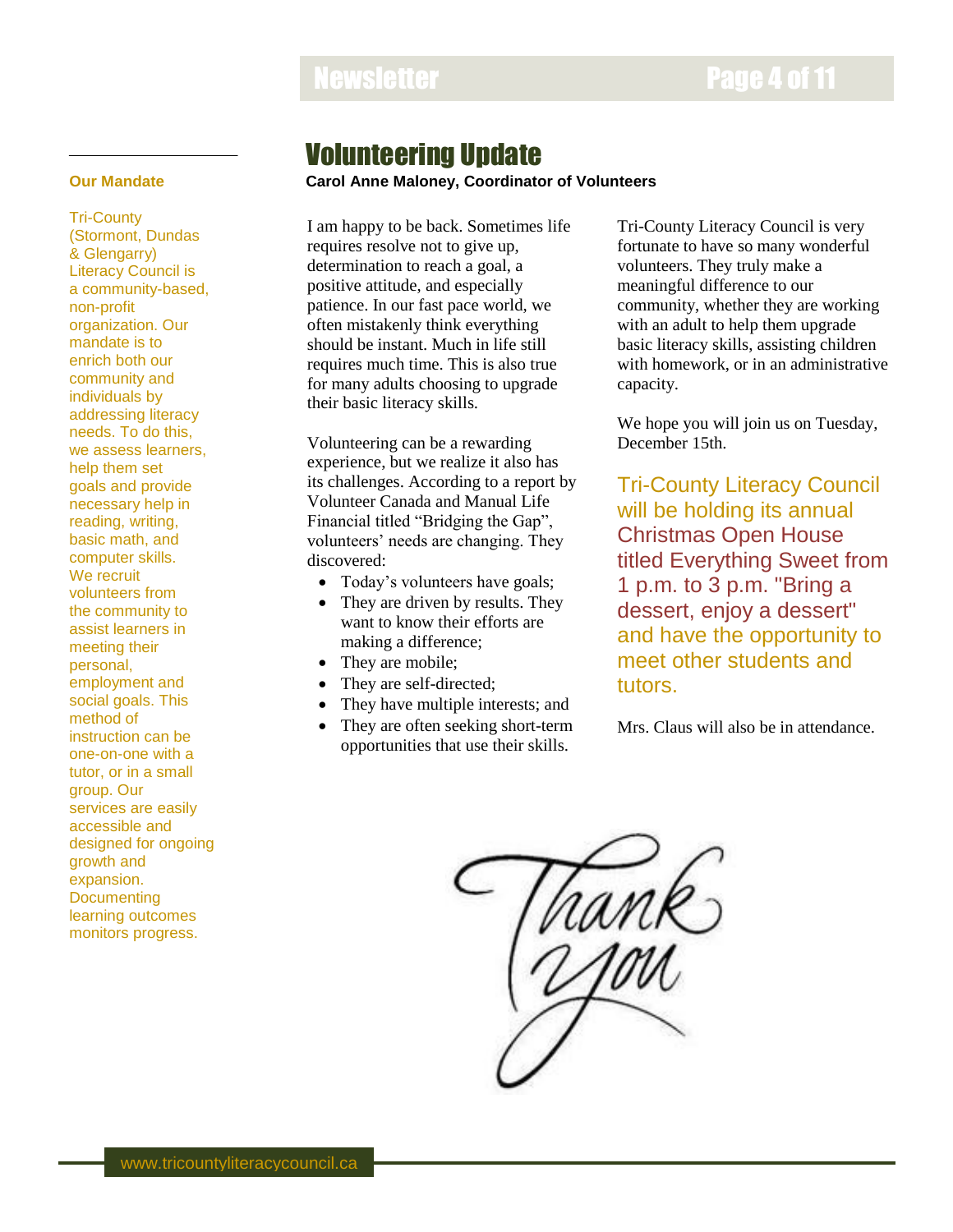## Newsletter **Newsletter Page 4 of 11**

## **Our Mandate**

Tri-County (Stormont, Dundas & Glengarry) Literacy Council is a community-based, non-profit organization. Our mandate is to enrich both our community and individuals by addressing literacy needs. To do this, we assess learners, help them set goals and provide necessary help in reading, writing, basic math, and computer skills. We recruit volunteers from the community to assist learners in meeting their personal, employment and social goals. This method of instruction can be one-on-one with a tutor, or in a small group. Our services are easily accessible and designed for ongoing growth and expansion. **Documenting** learning outcomes monitors progress.

## Volunteering Update

**Carol Anne Maloney, Coordinator of Volunteers**

I am happy to be back. Sometimes life requires resolve not to give up, determination to reach a goal, a positive attitude, and especially patience. In our fast pace world, we often mistakenly think everything should be instant. Much in life still requires much time. This is also true for many adults choosing to upgrade their basic literacy skills.

Volunteering can be a rewarding experience, but we realize it also has its challenges. According to a report by Volunteer Canada and Manual Life Financial titled "Bridging the Gap", volunteers' needs are changing. They discovered:

- Today's volunteers have goals;
- They are driven by results. They want to know their efforts are making a difference;
- They are mobile;
- They are self-directed;
- They have multiple interests; and
- They are often seeking short-term opportunities that use their skills.

Tri-County Literacy Council is very fortunate to have so many wonderful volunteers. They truly make a meaningful difference to our community, whether they are working with an adult to help them upgrade basic literacy skills, assisting children with homework, or in an administrative capacity.

We hope you will join us on Tuesday, December 15th.

Tri-County Literacy Council will be holding its annual Christmas Open House titled Everything Sweet from 1 p.m. to 3 p.m. "Bring a dessert, enjoy a dessert" and have the opportunity to meet other students and tutors.

Mrs. Claus will also be in attendance.

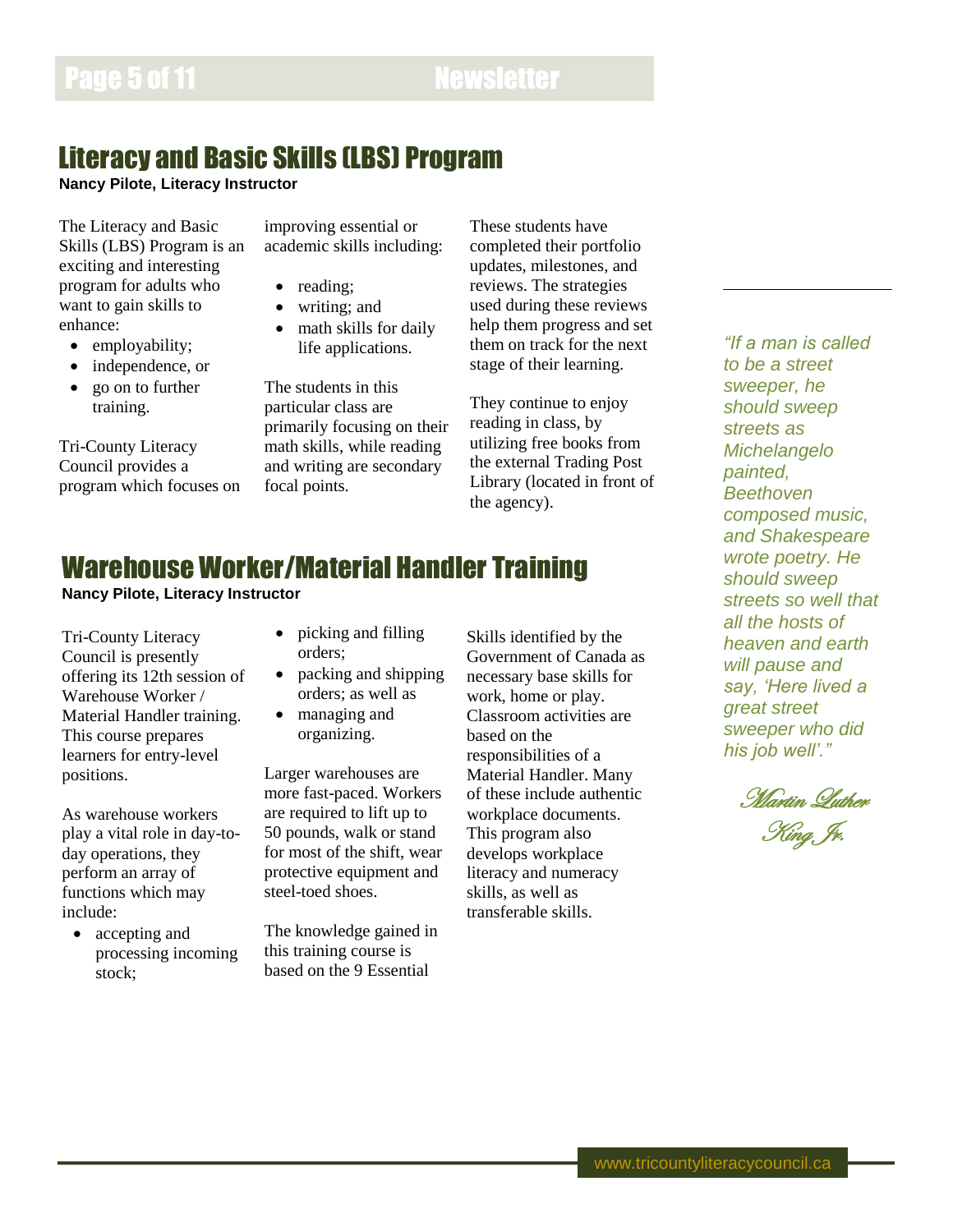## Literacy and Basic Skills (LBS) Program

**Nancy Pilote, Literacy Instructor**

The Literacy and Basic Skills (LBS) Program is an exciting and interesting program for adults who want to gain skills to enhance:

- employability;
- independence, or
- go on to further training.

Tri-County Literacy Council provides a program which focuses on improving essential or academic skills including:

- reading:
- writing; and
- math skills for daily life applications.

The students in this particular class are primarily focusing on their math skills, while reading and writing are secondary focal points.

These students have completed their portfolio updates, milestones, and reviews. The strategies used during these reviews help them progress and set them on track for the next stage of their learning.

They continue to enjoy reading in class, by utilizing free books from the external Trading Post Library (located in front of the agency).

## *"If a man is called to be a street sweeper, he should sweep streets as Michelangelo painted, Beethoven composed music, and Shakespeare wrote poetry. He should sweep streets so well that all the hosts of heaven and earth will pause and say, 'Here lived a great street sweeper who did his job well'."*

Martin Luther King Jr.

## Warehouse Worker/Material Handler Training

**Nancy Pilote, Literacy Instructor**

Tri-County Literacy Council is presently offering its 12th session of Warehouse Worker / Material Handler training. This course prepares learners for entry-level positions.

As warehouse workers play a vital role in day-today operations, they perform an array of functions which may include:

 accepting and processing incoming stock;

- picking and filling orders;
- packing and shipping orders; as well as
- managing and organizing.

Larger warehouses are more fast-paced. Workers are required to lift up to 50 pounds, walk or stand for most of the shift, wear protective equipment and steel-toed shoes.

The knowledge gained in this training course is based on the 9 Essential

Skills identified by the Government of Canada as necessary base skills for work, home or play. Classroom activities are based on the responsibilities of a Material Handler. Many of these include authentic workplace documents. This program also develops workplace literacy and numeracy skills, as well as transferable skills.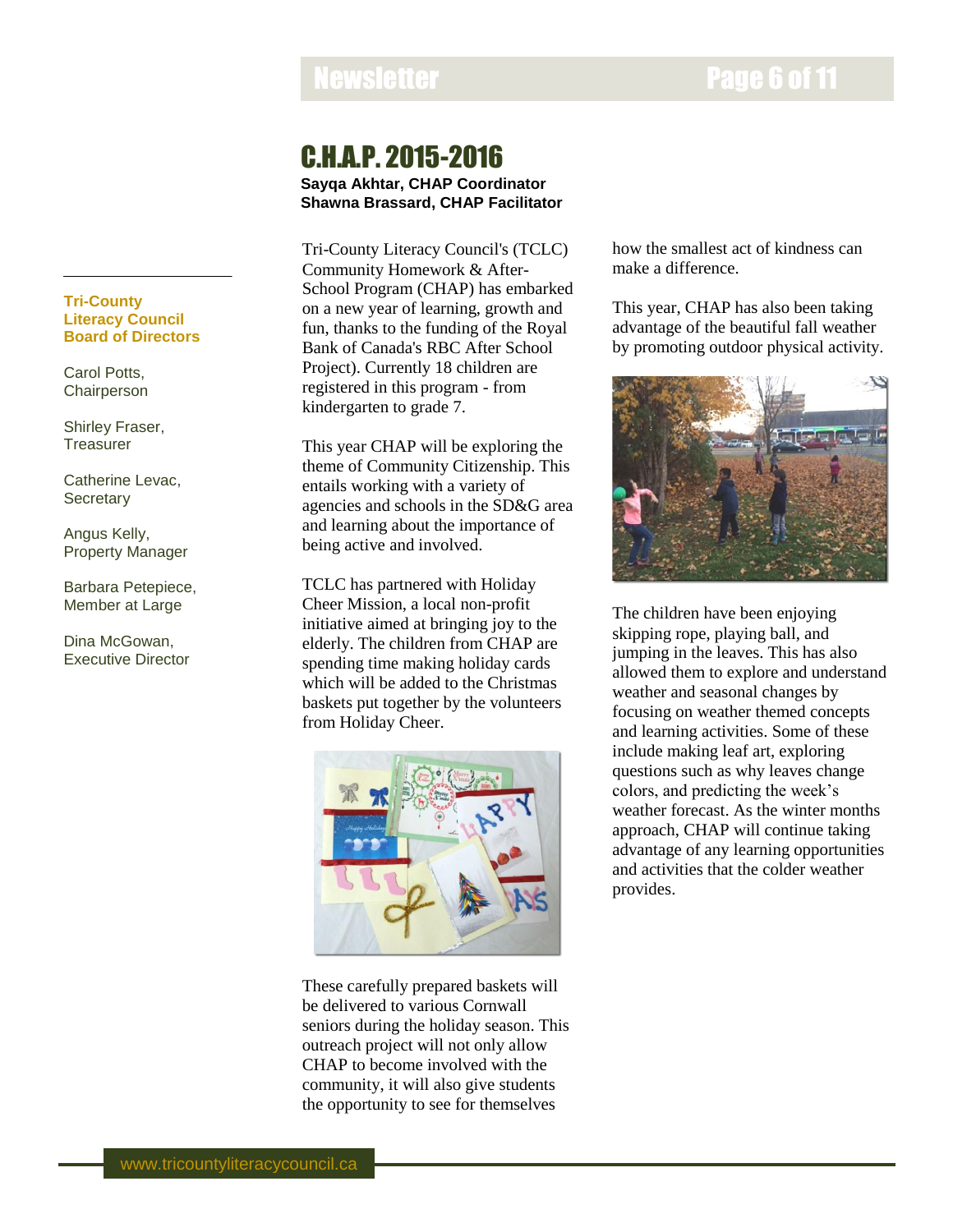## Newsletter **Page 6 of 11**

## C.H.A.P. 2015-2016

**Sayqa Akhtar, CHAP Coordinator Shawna Brassard, CHAP Facilitator**

Tri-County Literacy Council's (TCLC) Community Homework & After-School Program (CHAP) has embarked on a new year of learning, growth and fun, thanks to the funding of the Royal Bank of Canada's RBC After School Project). Currently 18 children are registered in this program - from kindergarten to grade 7.

This year CHAP will be exploring the theme of Community Citizenship. This entails working with a variety of agencies and schools in the SD&G area and learning about the importance of being active and involved.

TCLC has partnered with Holiday Cheer Mission, a local non-profit initiative aimed at bringing joy to the elderly. The children from CHAP are spending time making holiday cards which will be added to the Christmas baskets put together by the volunteers from Holiday Cheer.



These carefully prepared baskets will be delivered to various Cornwall seniors during the holiday season. This outreach project will not only allow CHAP to become involved with the community, it will also give students the opportunity to see for themselves

how the smallest act of kindness can make a difference.

This year, CHAP has also been taking advantage of the beautiful fall weather by promoting outdoor physical activity.



The children have been enjoying skipping rope, playing ball, and jumping in the leaves. This has also allowed them to explore and understand weather and seasonal changes by focusing on weather themed concepts and learning activities. Some of these include making leaf art, exploring questions such as why leaves change colors, and predicting the week's weather forecast. As the winter months approach, CHAP will continue taking advantage of any learning opportunities and activities that the colder weather provides.

## **Tri-County Literacy Council Board of Directors**

Carol Potts, **Chairperson** 

Shirley Fraser, **Treasurer** 

Catherine Levac, **Secretary** 

Angus Kelly, Property Manager

Barbara Petepiece, Member at Large

Dina McGowan, Executive Director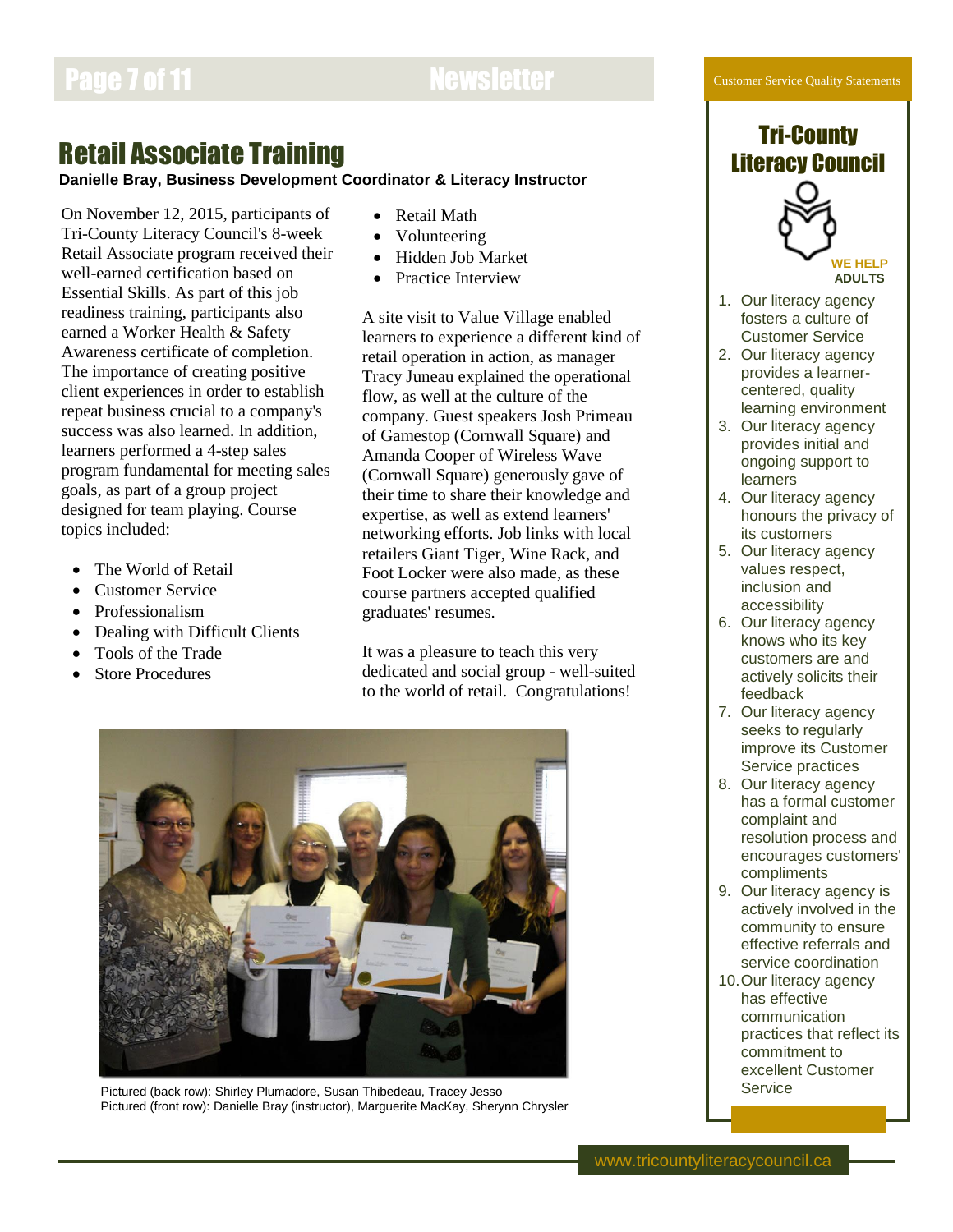# Page 7 of 11 Newsletter

Customer Service Quality Statements

## Retail Associate Training

## **Danielle Bray, Business Development Coordinator & Literacy Instructor**

On November 12, 2015, participants of Tri-County Literacy Council's 8-week Retail Associate program received their well-earned certification based on Essential Skills. As part of this job readiness training, participants also earned a Worker Health & Safety Awareness certificate of completion. The importance of creating positive client experiences in order to establish repeat business crucial to a company's success was also learned. In addition, learners performed a 4-step sales program fundamental for meeting sales goals, as part of a group project designed for team playing. Course topics included:

- The World of Retail
- Customer Service
- Professionalism
- Dealing with Difficult Clients
- Tools of the Trade
- Store Procedures
- Retail Math
- Volunteering
- Hidden Job Market
- Practice Interview

A site visit to Value Village enabled learners to experience a different kind of retail operation in action, as manager Tracy Juneau explained the operational flow, as well at the culture of the company. Guest speakers Josh Primeau of Gamestop (Cornwall Square) and Amanda Cooper of Wireless Wave (Cornwall Square) generously gave of their time to share their knowledge and expertise, as well as extend learners' networking efforts. Job links with local retailers Giant Tiger, Wine Rack, and Foot Locker were also made, as these course partners accepted qualified graduates' resumes.

It was a pleasure to teach this very dedicated and social group - well-suited to the world of retail. Congratulations!



Pictured (back row): Shirley Plumadore, Susan Thibedeau, Tracey Jesso Pictured (front row): Danielle Bray (instructor), Marguerite MacKay, Sherynn Chrysler





**WE HELP ADULTS**

- 1. Our literacy agency fosters a culture of Customer Service
- 2. Our literacy agency provides a learnercentered, quality learning environment
- 3. Our literacy agency provides initial and ongoing support to learners
- 4. Our literacy agency honours the privacy of its customers
- 5. Our literacy agency values respect, inclusion and accessibility
- 6. Our literacy agency knows who its key customers are and actively solicits their feedback
- 7. Our literacy agency seeks to regularly improve its Customer Service practices
- 8. Our literacy agency has a formal customer complaint and resolution process and encourages customers' compliments
- 9. Our literacy agency is actively involved in the community to ensure effective referrals and service coordination
- 10.Our literacy agency has effective communication practices that reflect its commitment to excellent Customer **Service**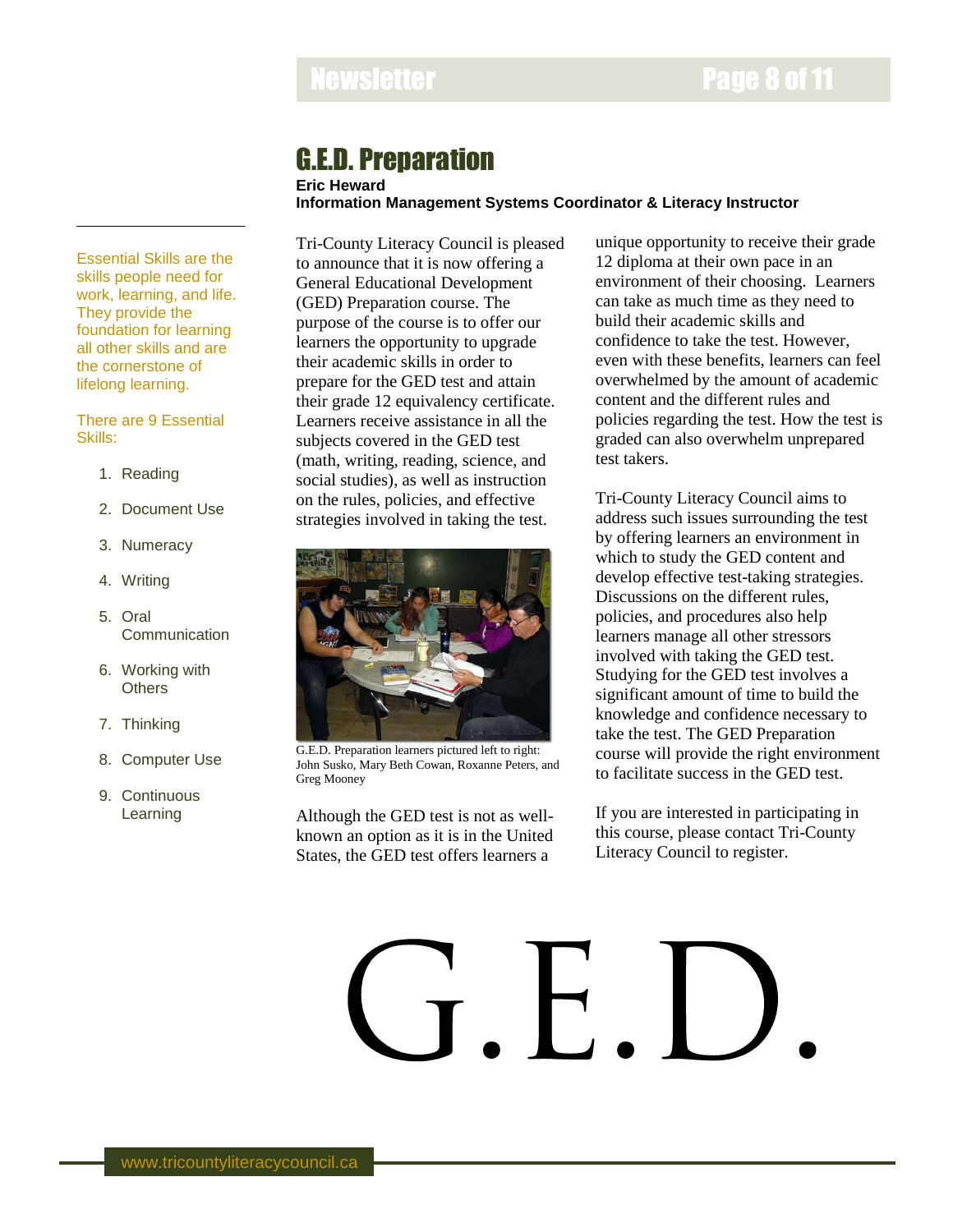# Newsletter **Newsletter** Page 8 of 11

## G.E.D. Preparation

**Eric Heward**

**Information Management Systems Coordinator & Literacy Instructor**

Essential Skills are the skills people need for work, learning, and life. They provide the foundation for learning all other skills and are the cornerstone of lifelong learning.

### There are 9 Essential Skills:

- 1. Reading
- 2. Document Use
- 3. Numeracy
- 4. Writing
- 5. Oral Communication
- 6. Working with **Others**
- 7. Thinking
- 8. Computer Use
- 9. Continuous Learning

Tri-County Literacy Council is pleased to announce that it is now offering a General Educational Development (GED) Preparation course. The purpose of the course is to offer our learners the opportunity to upgrade their academic skills in order to prepare for the GED test and attain their grade 12 equivalency certificate. Learners receive assistance in all the subjects covered in the GED test (math, writing, reading, science, and social studies), as well as instruction on the rules, policies, and effective strategies involved in taking the test.



G.E.D. Preparation learners pictured left to right: John Susko, Mary Beth Cowan, Roxanne Peters, and Greg Mooney

Although the GED test is not as wellknown an option as it is in the United States, the GED test offers learners a

unique opportunity to receive their grade 12 diploma at their own pace in an environment of their choosing. Learners can take as much time as they need to build their academic skills and confidence to take the test. However, even with these benefits, learners can feel overwhelmed by the amount of academic content and the different rules and policies regarding the test. How the test is graded can also overwhelm unprepared test takers.

Tri-County Literacy Council aims to address such issues surrounding the test by offering learners an environment in which to study the GED content and develop effective test-taking strategies. Discussions on the different rules, policies, and procedures also help learners manage all other stressors involved with taking the GED test. Studying for the GED test involves a significant amount of time to build the knowledge and confidence necessary to take the test. The GED Preparation course will provide the right environment to facilitate success in the GED test.

If you are interested in participating in this course, please contact Tri-County Literacy Council to register.

# G.E.L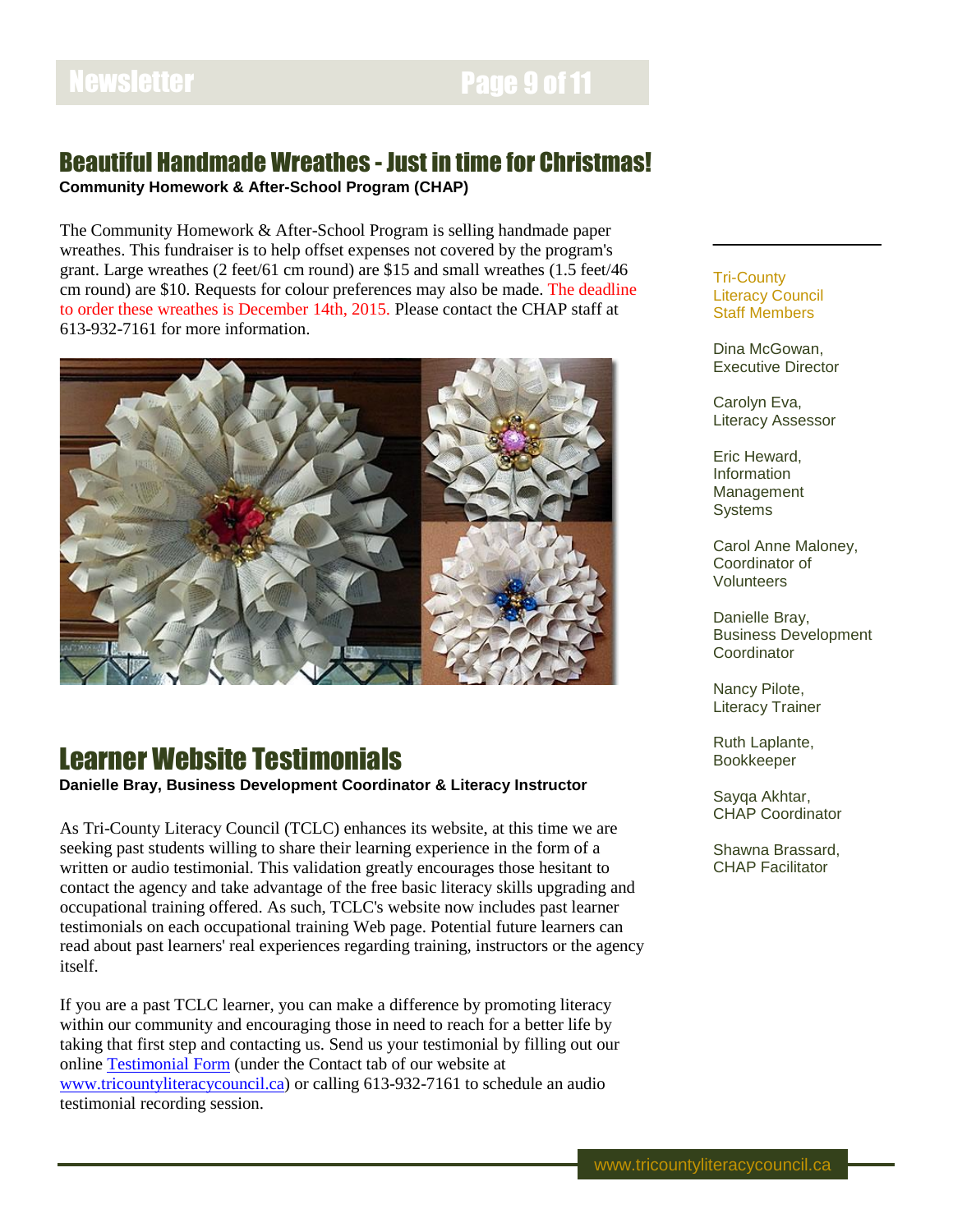## Newsletter **Page 9 of 11**

## Beautiful Handmade Wreathes - Just in time for Christmas!

**Community Homework & After-School Program (CHAP)**

The Community Homework & After-School Program is selling handmade paper wreathes. This fundraiser is to help offset expenses not covered by the program's grant. Large wreathes (2 feet/61 cm round) are \$15 and small wreathes (1.5 feet/46 cm round) are \$10. Requests for colour preferences may also be made. The deadline to order these wreathes is December 14th, 2015. Please contact the CHAP staff at 613-932-7161 for more information.



## Learner Website Testimonials

**Danielle Bray, Business Development Coordinator & Literacy Instructor**

As Tri-County Literacy Council (TCLC) enhances its website, at this time we are seeking past students willing to share their learning experience in the form of a written or audio testimonial. This validation greatly encourages those hesitant to contact the agency and take advantage of the free basic literacy skills upgrading and occupational training offered. As such, TCLC's website now includes past learner testimonials on each occupational training Web page. Potential future learners can read about past learners' real experiences regarding training, instructors or the agency itself.

If you are a past TCLC learner, you can make a difference by promoting literacy within our community and encouraging those in need to reach for a better life by taking that first step and contacting us. Send us your testimonial by filling out our onlin[e Testimonial Form](https://tricountyliteracycouncil.wordpress.com/contact/testimonials/) (under the Contact tab of our website at [www.tricountyliteracycouncil.ca\)](http://www.tricountyliteracycouncil.ca/) or calling 613-932-7161 to schedule an audio testimonial recording session.

#### Tri-County Literacy Council Staff Members

Dina McGowan, Executive Director

Carolyn Eva, Literacy Assessor

Eric Heward, Information Management **Systems** 

Carol Anne Maloney, Coordinator of Volunteers

Danielle Bray, Business Development **Coordinator** 

Nancy Pilote, Literacy Trainer

Ruth Laplante, Bookkeeper

Sayqa Akhtar, CHAP Coordinator

Shawna Brassard, CHAP Facilitator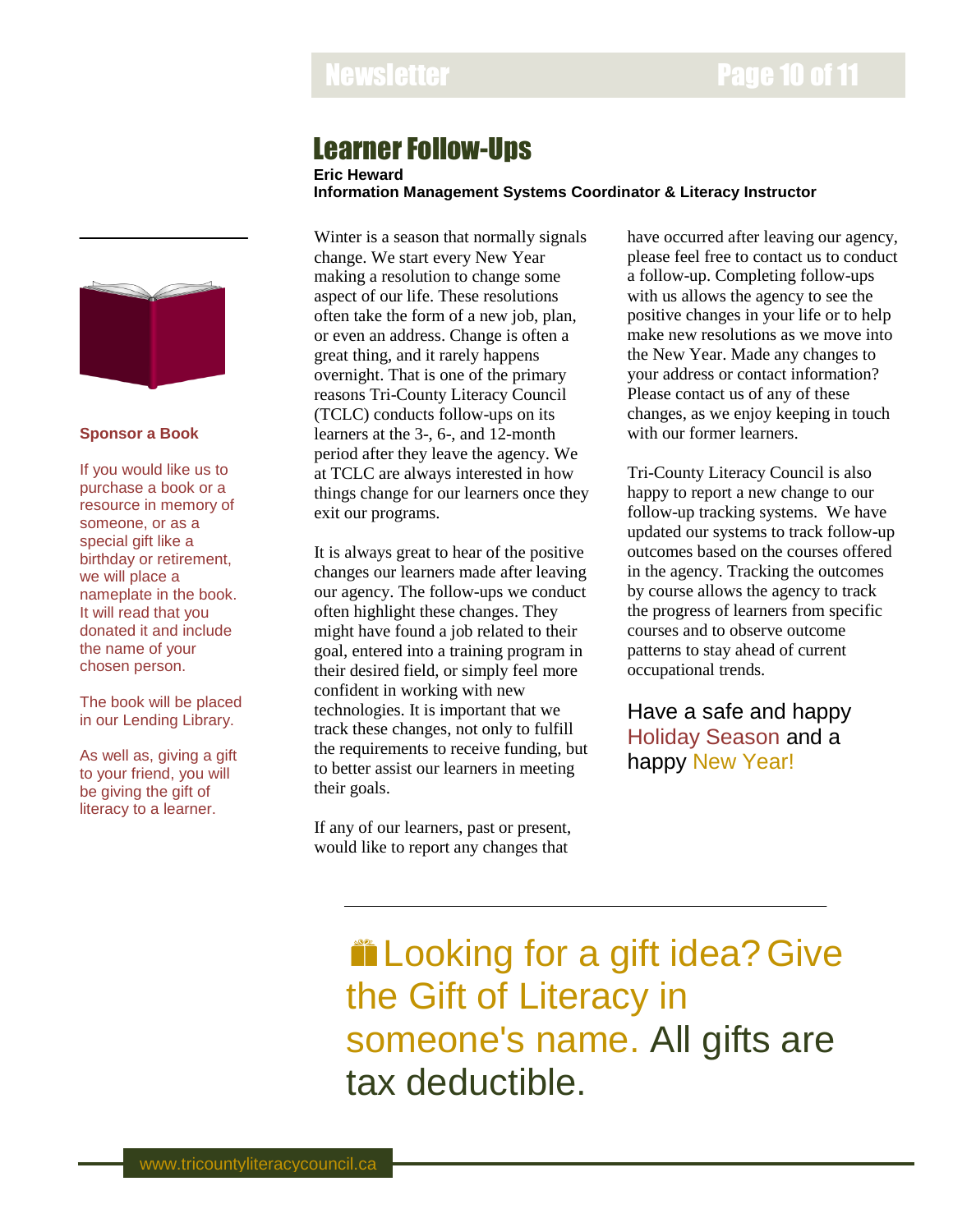## Learner Follow-Ups

**Eric Heward**

**Information Management Systems Coordinator & Literacy Instructor**



### **Sponsor a Book**

If you would like us to purchase a book or a resource in memory of someone, or as a special gift like a birthday or retirement, we will place a nameplate in the book. It will read that you donated it and include the name of your chosen person.

The book will be placed in our Lending Library.

As well as, giving a gift to your friend, you will be giving the gift of literacy to a learner.

Winter is a season that normally signals change. We start every New Year making a resolution to change some aspect of our life. These resolutions often take the form of a new job, plan, or even an address. Change is often a great thing, and it rarely happens overnight. That is one of the primary reasons Tri-County Literacy Council (TCLC) conducts follow-ups on its learners at the 3-, 6-, and 12-month period after they leave the agency. We at TCLC are always interested in how things change for our learners once they exit our programs.

It is always great to hear of the positive changes our learners made after leaving our agency. The follow-ups we conduct often highlight these changes. They might have found a job related to their goal, entered into a training program in their desired field, or simply feel more confident in working with new technologies. It is important that we track these changes, not only to fulfill the requirements to receive funding, but to better assist our learners in meeting their goals.

If any of our learners, past or present, would like to report any changes that

have occurred after leaving our agency, please feel free to contact us to conduct a follow-up. Completing follow-ups with us allows the agency to see the positive changes in your life or to help make new resolutions as we move into the New Year. Made any changes to your address or contact information? Please contact us of any of these changes, as we enjoy keeping in touch with our former learners.

Tri-County Literacy Council is also happy to report a new change to our follow-up tracking systems. We have updated our systems to track follow-up outcomes based on the courses offered in the agency. Tracking the outcomes by course allows the agency to track the progress of learners from specific courses and to observe outcome patterns to stay ahead of current occupational trends.

Have a safe and happy Holiday Season and a happy New Year!

**in Looking for a gift idea? Give** the Gift of Literacy in someone's name. All gifts are tax deductible.